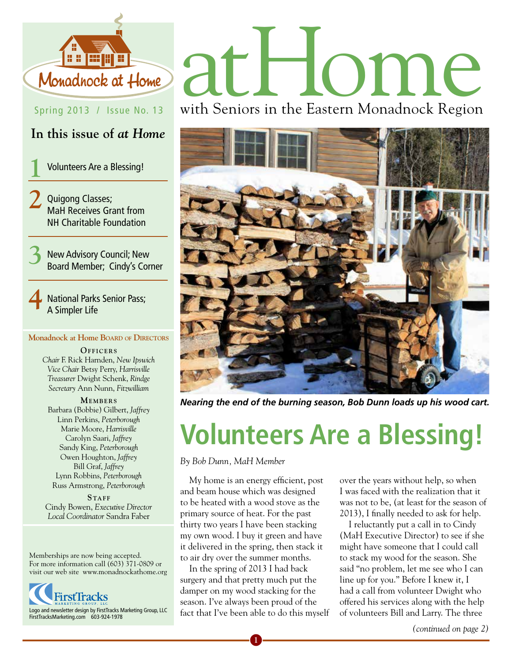

#### Spring 2013 / Issue No. 13

#### **In this issue of** *at Home*

**1** Volunteers Are a Blessing!

**2** Quigong Classes; MaH Receives Grant from NH Charitable Foundation

**3** New Advisory Council; New Board Member; Cindy's Corner

**4** National Parks Senior Pass; A Simpler Life

#### **Monadnock at Home Board of Directors**

OFFICERS *Chair* F. Rick Harnden, *New Ipswich Vice Chair* Betsy Perry, *Harrisville Treasurer* Dwight Schenk, *Rindge Secretary* Ann Nunn, *Fitzwilliam*

**MEMBERS** Barbara (Bobbie) Gilbert, *Jaffrey* Linn Perkins, *Peterborough* Marie Moore, *Harrisville* Carolyn Saari, *Jaffrey* Sandy King, *Peterborough* Owen Houghton, *Jaffrey* Bill Graf, *Jaffrey* Lynn Robbins, *Peterborough* Russ Armstrong, *Peterborough*

STAFF Cindy Bowen, *Executive Director Local Coordinator* Sandra Faber

Memberships are now being accepted. For more information call (603) 371-0809 or visit our web site www.monadnockathome.org



# Monadhock at Home and The DMC

with Seniors in the Eastern Monadnock Region



*Nearing the end of the burning season, Bob Dunn loads up his wood cart.*

## **Volunteers Are a Blessing!**

*By Bob Dunn, MaH Member*

My home is an energy efficient, post and beam house which was designed to be heated with a wood stove as the primary source of heat. For the past thirty two years I have been stacking my own wood. I buy it green and have it delivered in the spring, then stack it to air dry over the summer months.

In the spring of 2013 I had back surgery and that pretty much put the damper on my wood stacking for the season. I've always been proud of the fact that I've been able to do this myself

**1**

over the years without help, so when I was faced with the realization that it was not to be, (at least for the season of 2013), I finally needed to ask for help.

I reluctantly put a call in to Cindy (MaH Executive Director) to see if she might have someone that I could call to stack my wood for the season. She said "no problem, let me see who I can line up for you." Before I knew it, I had a call from volunteer Dwight who offered his services along with the help of volunteers Bill and Larry. The three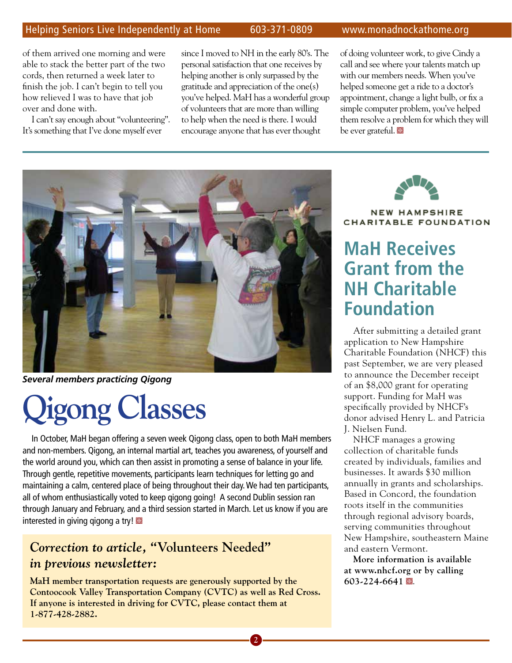#### Helping Seniors Live Independently at Home 603-371-0809 www.monadnockathome.org

of them arrived one morning and were able to stack the better part of the two cords, then returned a week later to finish the job. I can't begin to tell you how relieved I was to have that job over and done with.

I can't say enough about "volunteering". It's something that I've done myself ever

since I moved to NH in the early 80's. The personal satisfaction that one receives by helping another is only surpassed by the gratitude and appreciation of the one(s) you've helped. MaH has a wonderful group of volunteers that are more than willing to help when the need is there. I would encourage anyone that has ever thought

of doing volunteer work, to give Cindy a call and see where your talents match up with our members needs. When you've helped someone get a ride to a doctor's appointment, change a light bulb, or fix a simple computer problem, you've helped them resolve a problem for which they will be ever grateful.



*Several members practicing Qigong*

# **Qigong Classes**

In October, MaH began offering a seven week Qigong class, open to both MaH members and non-members. Qigong, an internal martial art, teaches you awareness, of yourself and the world around you, which can then assist in promoting a sense of balance in your life. Through gentle, repetitive movements, participants learn techniques for letting go and maintaining a calm, centered place of being throughout their day. We had ten participants, all of whom enthusiastically voted to keep qigong going! A second Dublin session ran through January and February, and a third session started in March. Let us know if you are interested in giving gigong a try!

#### *Correction to article,* **"Volunteers Needed"**  *in previous newsletter:*

**MaH member transportation requests are generously supported by the Contoocook Valley Transportation Company (CVTC) as well as Red Cross. If anyone is interested in driving for CVTC, please contact them at 1-877-428-2882.**

**2**



**NEW HAMPSHIRE** CHARITABLE FOUNDATION

#### **MaH Receives Grant from the NH Charitable Foundation**

After submitting a detailed grant application to New Hampshire Charitable Foundation (NHCF) this past September, we are very pleased to announce the December receipt of an \$8,000 grant for operating support. Funding for MaH was specifically provided by NHCF's donor advised Henry L. and Patricia J. Nielsen Fund.

NHCF manages a growing collection of charitable funds created by individuals, families and businesses. It awards \$30 million annually in grants and scholarships. Based in Concord, the foundation roots itself in the communities through regional advisory boards, serving communities throughout New Hampshire, southeastern Maine and eastern Vermont.

**More information is available at www.nhcf.org or by calling 603-224-6641** Y.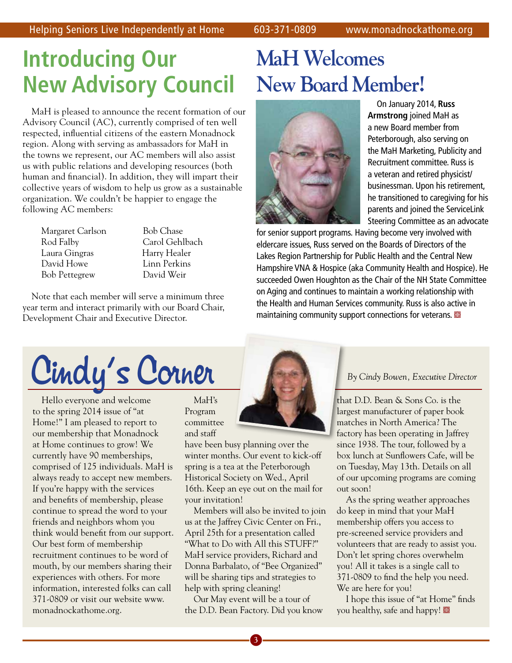## **Introducing Our New Advisory Council**

MaH is pleased to announce the recent formation of our Advisory Council (AC), currently comprised of ten well respected, influential citizens of the eastern Monadnock region. Along with serving as ambassadors for MaH in the towns we represent, our AC members will also assist us with public relations and developing resources (both human and financial). In addition, they will impart their collective years of wisdom to help us grow as a sustainable organization. We couldn't be happier to engage the following AC members:

Margaret Carlson Bob Chase Rod Falby Carol Gehlbach Laura Gingras Harry Healer David Howe Linn Perkins Bob Pettegrew David Weir

Note that each member will serve a minimum three year term and interact primarily with our Board Chair, Development Chair and Executive Director.

## **MaH Welcomes New Board Member!**



On January 2014, **Russ Armstrong** joined MaH as a new Board member from Peterborough, also serving on the MaH Marketing, Publicity and Recruitment committee. Russ is a veteran and retired physicist/ businessman. Upon his retirement, he transitioned to caregiving for his parents and joined the ServiceLink Steering Committee as an advocate

for senior support programs. Having become very involved with eldercare issues, Russ served on the Boards of Directors of the Lakes Region Partnership for Public Health and the Central New Hampshire VNA & Hospice (aka Community Health and Hospice). He succeeded Owen Houghton as the Chair of the NH State Committee on Aging and continues to maintain a working relationship with the Health and Human Services community. Russ is also active in maintaining community support connections for veterans.  $\blacksquare$ 

# Cindy's Corner

Hello everyone and welcome to the spring 2014 issue of "at Home!" I am pleased to report to our membership that Monadnock at Home continues to grow! We currently have 90 memberships, comprised of 125 individuals. MaH is always ready to accept new members. If you're happy with the services and benefits of membership, please continue to spread the word to your friends and neighbors whom you think would benefit from our support. Our best form of membership recruitment continues to be word of mouth, by our members sharing their experiences with others. For more information, interested folks can call 371-0809 or visit our website www. monadnockathome.org.

MaH's Program committee and staff

have been busy planning over the winter months. Our event to kick-off spring is a tea at the Peterborough Historical Society on Wed., April 16th. Keep an eye out on the mail for your invitation!

Members will also be invited to join us at the Jaffrey Civic Center on Fri., April 25th for a presentation called "What to Do with All this STUFF?" MaH service providers, Richard and Donna Barbalato, of "Bee Organized" will be sharing tips and strategies to help with spring cleaning!

Our May event will be a tour of the D.D. Bean Factory. Did you know

that D.D. Bean & Sons Co. is the largest manufacturer of paper book matches in North America? The factory has been operating in Jaffrey since 1938. The tour, followed by a box lunch at Sunflowers Cafe, will be on Tuesday, May 13th. Details on all of our upcoming programs are coming out soon!

As the spring weather approaches do keep in mind that your MaH membership offers you access to pre-screened service providers and volunteers that are ready to assist you. Don't let spring chores overwhelm you! All it takes is a single call to 371-0809 to find the help you need. We are here for you!

I hope this issue of "at Home" finds you healthy, safe and happy!